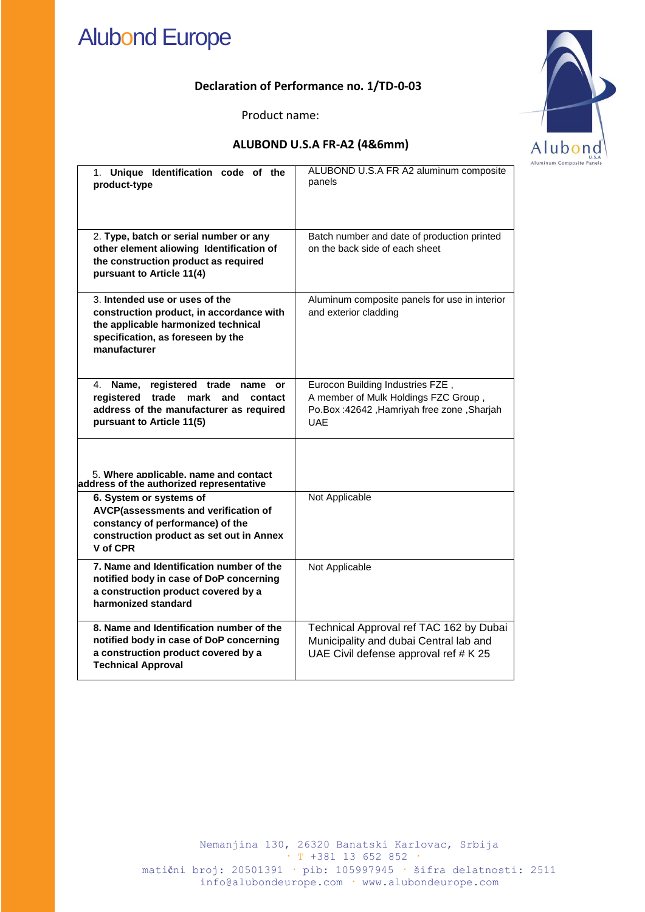# Alubond Europe

### **Declaration of Performance no. 1/TD-0-03**

Product name:

#### **ALUBOND U.S.A FR-A2 (4&6mm)**



| 1. Unique Identification code of the<br>product-type                                                                                                                   | ALUBOND U.S.A FR A2 aluminum composite<br>panels                                                                                    |
|------------------------------------------------------------------------------------------------------------------------------------------------------------------------|-------------------------------------------------------------------------------------------------------------------------------------|
| 2. Type, batch or serial number or any<br>other element aliowing Identification of<br>the construction product as required<br>pursuant to Article 11(4)                | Batch number and date of production printed<br>on the back side of each sheet                                                       |
| 3. Intended use or uses of the<br>construction product, in accordance with<br>the applicable harmonized technical<br>specification, as foreseen by the<br>manufacturer | Aluminum composite panels for use in interior<br>and exterior cladding                                                              |
| Name,<br>registered trade<br>4.<br>name<br>or<br>trade<br>registered<br>mark<br>and<br>contact<br>address of the manufacturer as required<br>pursuant to Article 11(5) | Eurocon Building Industries FZE,<br>A member of Mulk Holdings FZC Group,<br>Po.Box:42642, Hamriyah free zone, Sharjah<br><b>UAE</b> |
| 5. Where applicable, name and contact<br>address of the authorized representative                                                                                      |                                                                                                                                     |
| 6. System or systems of<br>AVCP(assessments and verification of<br>constancy of performance) of the<br>construction product as set out in Annex<br>V of CPR            | Not Applicable                                                                                                                      |
| 7. Name and Identification number of the<br>notified body in case of DoP concerning<br>a construction product covered by a<br>harmonized standard                      | Not Applicable                                                                                                                      |
| 8. Name and Identification number of the<br>notified body in case of DoP concerning<br>a construction product covered by a<br><b>Technical Approval</b>                | Technical Approval ref TAC 162 by Dubai<br>Municipality and dubai Central lab and<br>UAE Civil defense approval ref # K 25          |